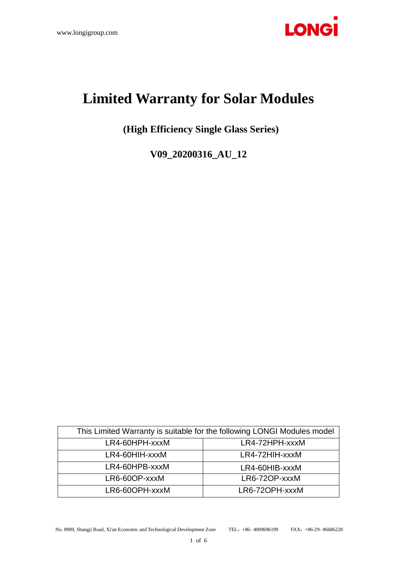

# **Limited Warranty for Solar Modules**

**(High Efficiency Single Glass Series)**

**V09\_20200316\_AU\_12**

| This Limited Warranty is suitable for the following LONGI Modules model |                |
|-------------------------------------------------------------------------|----------------|
| LR4-60HPH-xxxM                                                          | LR4-72HPH-xxxM |
| LR4-60HIH-xxxM                                                          | LR4-72HIH-xxxM |
| LR4-60HPB-xxxM                                                          | LR4-60HIB-xxxM |
| LR6-60OP-xxxM                                                           | LR6-72OP-xxxM  |
| LR6-60OPH-xxxM                                                          | LR6-72OPH-xxxM |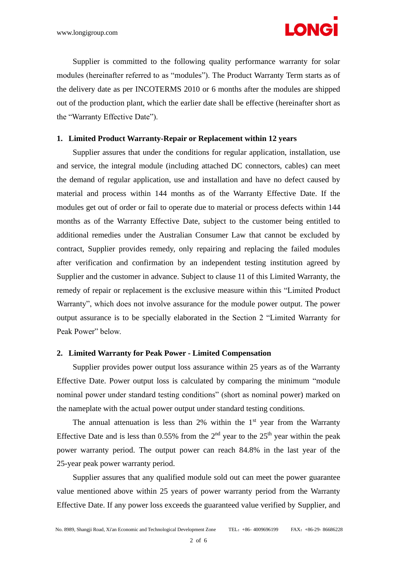

Supplier is committed to the following quality performance warranty for solar modules (hereinafter referred to as "modules"). The Product Warranty Term starts as of the delivery date as per INCOTERMS 2010 or 6 months after the modules are shipped out of the production plant, which the earlier date shall be effective (hereinafter short as the "Warranty Effective Date").

## **1. Limited Product Warranty-Repair or Replacement within 12 years**

Supplier assures that under the conditions for regular application, installation, use and service, the integral module (including attached DC connectors, cables) can meet the demand of regular application, use and installation and have no defect caused by material and process within 144 months as of the Warranty Effective Date. If the modules get out of order or fail to operate due to material or process defects within 144 months as of the Warranty Effective Date, subject to the customer being entitled to additional remedies under the Australian Consumer Law that cannot be excluded by contract, Supplier provides remedy, only repairing and replacing the failed modules after verification and confirmation by an independent testing institution agreed by Supplier and the customer in advance. Subject to clause 11 of this Limited Warranty, the remedy of repair or replacement is the exclusive measure within this "Limited Product Warranty", which does not involve assurance for the module power output. The power output assurance is to be specially elaborated in the Section 2 "Limited Warranty for Peak Power" below.

#### **2. Limited Warranty for Peak Power - Limited Compensation**

Supplier provides power output loss assurance within 25 years as of the Warranty Effective Date. Power output loss is calculated by comparing the minimum "module nominal power under standard testing conditions" (short as nominal power) marked on the nameplate with the actual power output under standard testing conditions.

The annual attenuation is less than 2% within the  $1<sup>st</sup>$  year from the Warranty Effective Date and is less than  $0.55\%$  from the  $2<sup>nd</sup>$  year to the  $25<sup>th</sup>$  year within the peak power warranty period. The output power can reach 84.8% in the last year of the 25-year peak power warranty period.

Supplier assures that any qualified module sold out can meet the power guarantee value mentioned above within 25 years of power warranty period from the Warranty Effective Date. If any power loss exceeds the guaranteed value verified by Supplier, and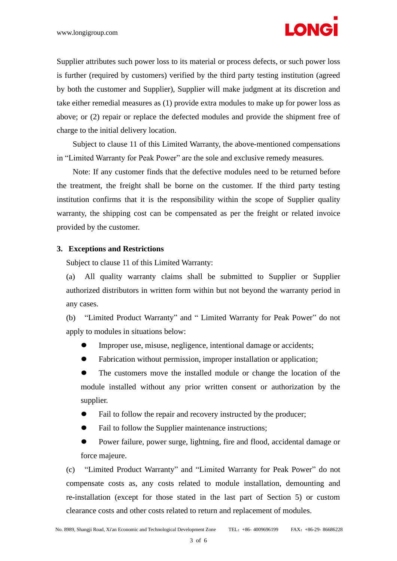

Supplier attributes such power loss to its material or process defects, or such power loss is further (required by customers) verified by the third party testing institution (agreed by both the customer and Supplier), Supplier will make judgment at its discretion and take either remedial measures as (1) provide extra modules to make up for power loss as above; or (2) repair or replace the defected modules and provide the shipment free of charge to the initial delivery location.

Subject to clause 11 of this Limited Warranty, the above-mentioned compensations in "Limited Warranty for Peak Power" are the sole and exclusive remedy measures.

Note: If any customer finds that the defective modules need to be returned before the treatment, the freight shall be borne on the customer. If the third party testing institution confirms that it is the responsibility within the scope of Supplier quality warranty, the shipping cost can be compensated as per the freight or related invoice provided by the customer.

#### **3. Exceptions and Restrictions**

Subject to clause 11 of this Limited Warranty:

(a) All quality warranty claims shall be submitted to Supplier or Supplier authorized distributors in written form within but not beyond the warranty period in any cases.

(b) "Limited Product Warranty" and " Limited Warranty for Peak Power" do not apply to modules in situations below:

- Improper use, misuse, negligence, intentional damage or accidents;
- Fabrication without permission, improper installation or application;

⚫ The customers move the installed module or change the location of the module installed without any prior written consent or authorization by the supplier.

- Fail to follow the repair and recovery instructed by the producer;
- Fail to follow the Supplier maintenance instructions;
- ⚫ Power failure, power surge, lightning, fire and flood, accidental damage or force majeure.

(c) "Limited Product Warranty" and "Limited Warranty for Peak Power" do not compensate costs as, any costs related to module installation, demounting and re-installation (except for those stated in the last part of Section 5) or custom clearance costs and other costs related to return and replacement of modules.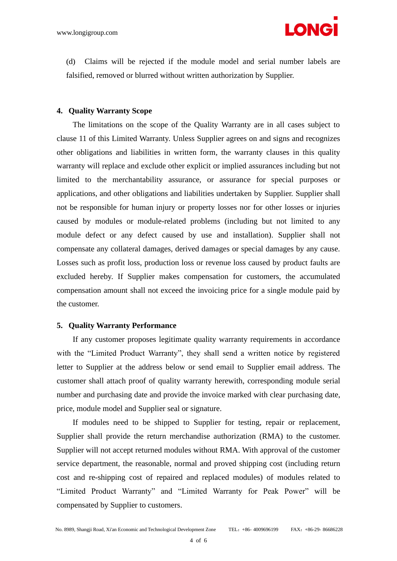

(d) Claims will be rejected if the module model and serial number labels are falsified, removed or blurred without written authorization by Supplier.

## **4. Quality Warranty Scope**

The limitations on the scope of the Quality Warranty are in all cases subject to clause 11 of this Limited Warranty. Unless Supplier agrees on and signs and recognizes other obligations and liabilities in written form, the warranty clauses in this quality warranty will replace and exclude other explicit or implied assurances including but not limited to the merchantability assurance, or assurance for special purposes or applications, and other obligations and liabilities undertaken by Supplier. Supplier shall not be responsible for human injury or property losses nor for other losses or injuries caused by modules or module-related problems (including but not limited to any module defect or any defect caused by use and installation). Supplier shall not compensate any collateral damages, derived damages or special damages by any cause. Losses such as profit loss, production loss or revenue loss caused by product faults are excluded hereby. If Supplier makes compensation for customers, the accumulated compensation amount shall not exceed the invoicing price for a single module paid by the customer.

## **5. Quality Warranty Performance**

If any customer proposes legitimate quality warranty requirements in accordance with the "Limited Product Warranty", they shall send a written notice by registered letter to Supplier at the address below or send email to Supplier email address. The customer shall attach proof of quality warranty herewith, corresponding module serial number and purchasing date and provide the invoice marked with clear purchasing date, price, module model and Supplier seal or signature.

If modules need to be shipped to Supplier for testing, repair or replacement, Supplier shall provide the return merchandise authorization (RMA) to the customer. Supplier will not accept returned modules without RMA. With approval of the customer service department, the reasonable, normal and proved shipping cost (including return cost and re-shipping cost of repaired and replaced modules) of modules related to "Limited Product Warranty" and "Limited Warranty for Peak Power" will be compensated by Supplier to customers.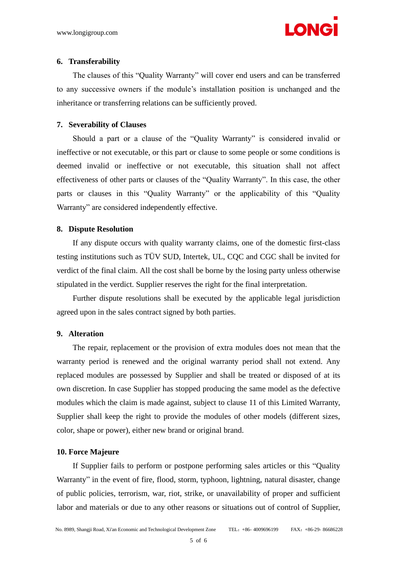

#### **6. Transferability**

The clauses of this "Quality Warranty" will cover end users and can be transferred to any successive owners if the module's installation position is unchanged and the inheritance or transferring relations can be sufficiently proved.

## **7. Severability of Clauses**

Should a part or a clause of the "Quality Warranty" is considered invalid or ineffective or not executable, or this part or clause to some people or some conditions is deemed invalid or ineffective or not executable, this situation shall not affect effectiveness of other parts or clauses of the "Quality Warranty". In this case, the other parts or clauses in this "Quality Warranty" or the applicability of this "Quality Warranty" are considered independently effective.

#### **8. Dispute Resolution**

If any dispute occurs with quality warranty claims, one of the domestic first-class testing institutions such as TÜV SUD, Intertek, UL, CQC and CGC shall be invited for verdict of the final claim. All the cost shall be borne by the losing party unless otherwise stipulated in the verdict. Supplier reserves the right for the final interpretation.

Further dispute resolutions shall be executed by the applicable legal jurisdiction agreed upon in the sales contract signed by both parties.

## **9. Alteration**

The repair, replacement or the provision of extra modules does not mean that the warranty period is renewed and the original warranty period shall not extend. Any replaced modules are possessed by Supplier and shall be treated or disposed of at its own discretion. In case Supplier has stopped producing the same model as the defective modules which the claim is made against, subject to clause 11 of this Limited Warranty, Supplier shall keep the right to provide the modules of other models (different sizes, color, shape or power), either new brand or original brand.

#### **10. Force Majeure**

If Supplier fails to perform or postpone performing sales articles or this "Quality Warranty" in the event of fire, flood, storm, typhoon, lightning, natural disaster, change of public policies, terrorism, war, riot, strike, or unavailability of proper and sufficient labor and materials or due to any other reasons or situations out of control of Supplier,